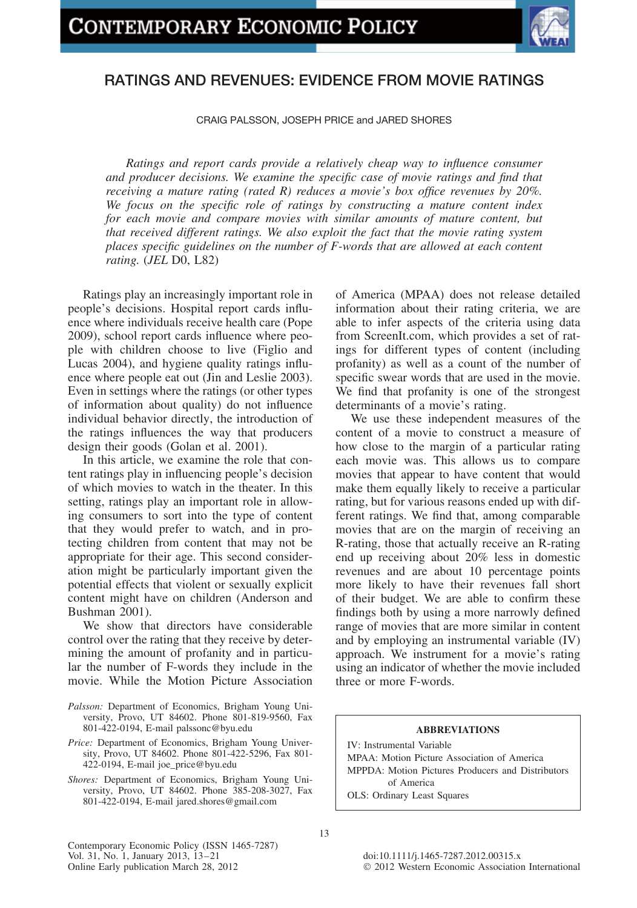# CONTEMPORARY ECONOMIC POLICY



# **RATINGS AND REVENUES: EVIDENCE FROM MOVIE RATINGS**

CRAIG PALSSON, JOSEPH PRICE and JARED SHORES

*Ratings and report cards provide a relatively cheap way to influence consumer and producer decisions. We examine the specific case of movie ratings and find that receiving a mature rating (rated R) reduces a movie's box office revenues by 20%. We focus on the specific role of ratings by constructing a mature content index for each movie and compare movies with similar amounts of mature content, but that received different ratings. We also exploit the fact that the movie rating system places specific guidelines on the number of F-words that are allowed at each content rating.* (*JEL* D0, L82)

Ratings play an increasingly important role in people's decisions. Hospital report cards influence where individuals receive health care (Pope 2009), school report cards influence where people with children choose to live (Figlio and Lucas 2004), and hygiene quality ratings influence where people eat out (Jin and Leslie 2003). Even in settings where the ratings (or other types of information about quality) do not influence individual behavior directly, the introduction of the ratings influences the way that producers design their goods (Golan et al. 2001).

In this article, we examine the role that content ratings play in influencing people's decision of which movies to watch in the theater. In this setting, ratings play an important role in allowing consumers to sort into the type of content that they would prefer to watch, and in protecting children from content that may not be appropriate for their age. This second consideration might be particularly important given the potential effects that violent or sexually explicit content might have on children (Anderson and Bushman 2001).

We show that directors have considerable control over the rating that they receive by determining the amount of profanity and in particular the number of F-words they include in the movie. While the Motion Picture Association

- *Palsson:* Department of Economics, Brigham Young University, Provo, UT 84602. Phone 801-819-9560, Fax 801-422-0194, E-mail palssonc@byu.edu
- *Price:* Department of Economics, Brigham Young University, Provo, UT 84602. Phone 801-422-5296, Fax 801- 422-0194, E-mail joe\_price@byu.edu
- *Shores:* Department of Economics, Brigham Young University, Provo, UT 84602. Phone 385-208-3027, Fax 801-422-0194, E-mail jared.shores@gmail.com

of America (MPAA) does not release detailed information about their rating criteria, we are able to infer aspects of the criteria using data from ScreenIt.com, which provides a set of ratings for different types of content (including profanity) as well as a count of the number of specific swear words that are used in the movie. We find that profanity is one of the strongest determinants of a movie's rating.

We use these independent measures of the content of a movie to construct a measure of how close to the margin of a particular rating each movie was. This allows us to compare movies that appear to have content that would make them equally likely to receive a particular rating, but for various reasons ended up with different ratings. We find that, among comparable movies that are on the margin of receiving an R-rating, those that actually receive an R-rating end up receiving about 20% less in domestic revenues and are about 10 percentage points more likely to have their revenues fall short of their budget. We are able to confirm these findings both by using a more narrowly defined range of movies that are more similar in content and by employing an instrumental variable (IV) approach. We instrument for a movie's rating using an indicator of whether the movie included three or more F-words.

#### **ABBREVIATIONS**

IV: Instrumental Variable MPAA: Motion Picture Association of America MPPDA: Motion Pictures Producers and Distributors of America OLS: Ordinary Least Squares

Contemporary Economic Policy (ISSN 1465-7287) Vol. 31, No. 1, January 2013, 13–21 Online Early publication March 28, 2012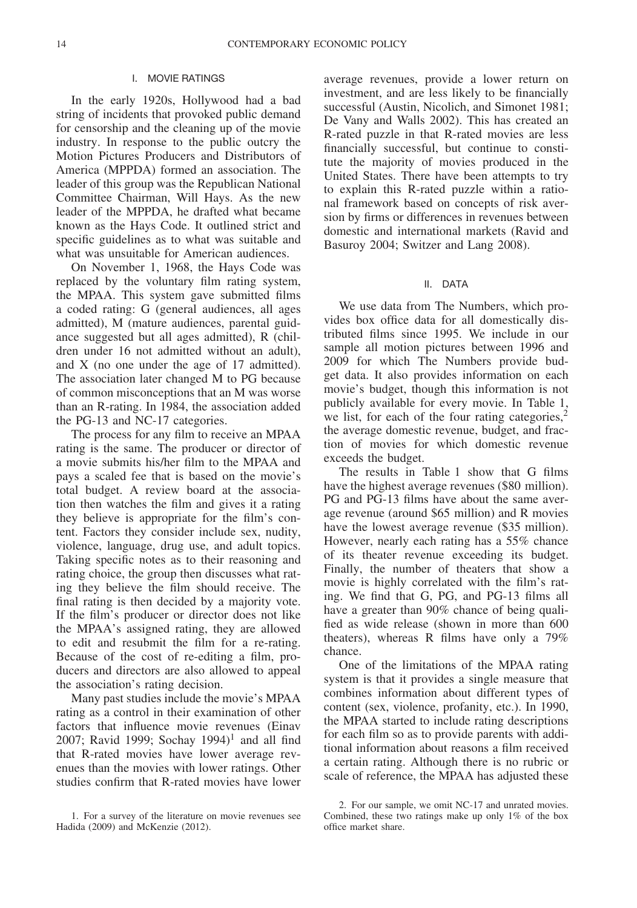# I. MOVIE RATINGS

In the early 1920s, Hollywood had a bad string of incidents that provoked public demand for censorship and the cleaning up of the movie industry. In response to the public outcry the Motion Pictures Producers and Distributors of America (MPPDA) formed an association. The leader of this group was the Republican National Committee Chairman, Will Hays. As the new leader of the MPPDA, he drafted what became known as the Hays Code. It outlined strict and specific guidelines as to what was suitable and what was unsuitable for American audiences.

On November 1, 1968, the Hays Code was replaced by the voluntary film rating system, the MPAA. This system gave submitted films a coded rating: G (general audiences, all ages admitted), M (mature audiences, parental guidance suggested but all ages admitted), R (children under 16 not admitted without an adult), and X (no one under the age of 17 admitted). The association later changed M to PG because of common misconceptions that an M was worse than an R-rating. In 1984, the association added the PG-13 and NC-17 categories.

The process for any film to receive an MPAA rating is the same. The producer or director of a movie submits his/her film to the MPAA and pays a scaled fee that is based on the movie's total budget. A review board at the association then watches the film and gives it a rating they believe is appropriate for the film's content. Factors they consider include sex, nudity, violence, language, drug use, and adult topics. Taking specific notes as to their reasoning and rating choice, the group then discusses what rating they believe the film should receive. The final rating is then decided by a majority vote. If the film's producer or director does not like the MPAA's assigned rating, they are allowed to edit and resubmit the film for a re-rating. Because of the cost of re-editing a film, producers and directors are also allowed to appeal the association's rating decision.

Many past studies include the movie's MPAA rating as a control in their examination of other factors that influence movie revenues (Einav 2007; Ravid 1999; Sochay  $1994$ <sup>1</sup> and all find that R-rated movies have lower average revenues than the movies with lower ratings. Other studies confirm that R-rated movies have lower

average revenues, provide a lower return on investment, and are less likely to be financially successful (Austin, Nicolich, and Simonet 1981; De Vany and Walls 2002). This has created an R-rated puzzle in that R-rated movies are less financially successful, but continue to constitute the majority of movies produced in the United States. There have been attempts to try to explain this R-rated puzzle within a rational framework based on concepts of risk aversion by firms or differences in revenues between domestic and international markets (Ravid and Basuroy 2004; Switzer and Lang 2008).

#### II. DATA

We use data from The Numbers, which provides box office data for all domestically distributed films since 1995. We include in our sample all motion pictures between 1996 and 2009 for which The Numbers provide budget data. It also provides information on each movie's budget, though this information is not publicly available for every movie. In Table 1, we list, for each of the four rating categories, $<sup>2</sup>$ </sup> the average domestic revenue, budget, and fraction of movies for which domestic revenue exceeds the budget.

The results in Table 1 show that G films have the highest average revenues (\$80 million). PG and PG-13 films have about the same average revenue (around \$65 million) and R movies have the lowest average revenue (\$35 million). However, nearly each rating has a 55% chance of its theater revenue exceeding its budget. Finally, the number of theaters that show a movie is highly correlated with the film's rating. We find that G, PG, and PG-13 films all have a greater than 90% chance of being qualified as wide release (shown in more than 600 theaters), whereas R films have only a 79% chance.

One of the limitations of the MPAA rating system is that it provides a single measure that combines information about different types of content (sex, violence, profanity, etc.). In 1990, the MPAA started to include rating descriptions for each film so as to provide parents with additional information about reasons a film received a certain rating. Although there is no rubric or scale of reference, the MPAA has adjusted these

<sup>1.</sup> For a survey of the literature on movie revenues see Hadida (2009) and McKenzie (2012).

<sup>2.</sup> For our sample, we omit NC-17 and unrated movies. Combined, these two ratings make up only 1% of the box office market share.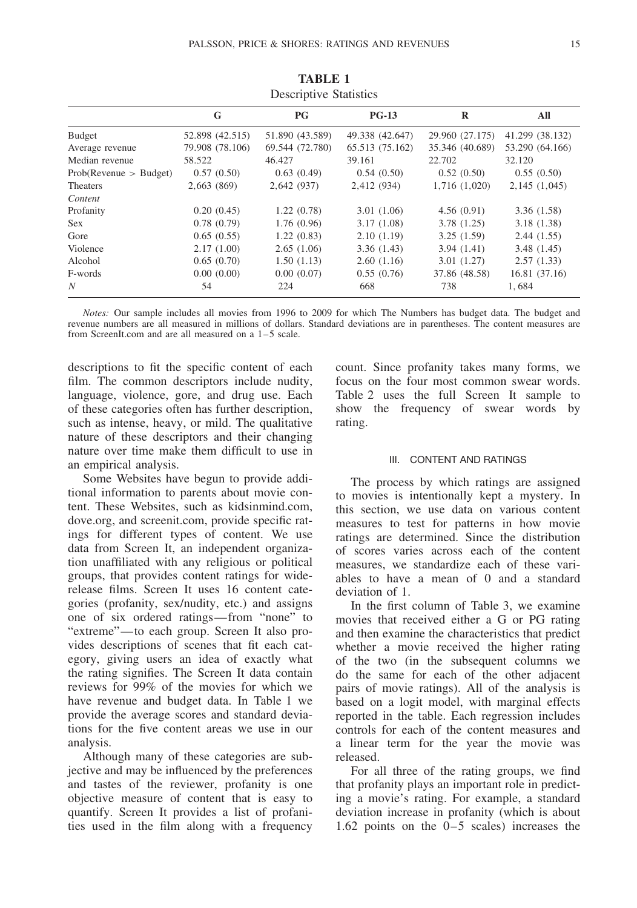|                        | G               | PG              | $PG-13$         | $\bf{R}$        | All             |
|------------------------|-----------------|-----------------|-----------------|-----------------|-----------------|
| <b>Budget</b>          | 52.898 (42.515) | 51.890 (43.589) | 49.338 (42.647) | 29.960 (27.175) | 41.299 (38.132) |
| Average revenue        | 79.908 (78.106) | 69.544 (72.780) | 65.513 (75.162) | 35.346 (40.689) | 53.290 (64.166) |
| Median revenue         | 58.522          | 46.427          | 39.161          | 22.702          | 32.120          |
| Prob(Revenue > Budget) | 0.57(0.50)      | 0.63(0.49)      | 0.54(0.50)      | 0.52(0.50)      | 0.55(0.50)      |
| <b>Theaters</b>        | 2,663(869)      | 2,642 (937)     | 2,412 (934)     | 1,716 (1,020)   | 2,145(1,045)    |
| Content                |                 |                 |                 |                 |                 |
| Profanity              | 0.20(0.45)      | 1.22(0.78)      | 3.01(1.06)      | 4.56(0.91)      | 3.36(1.58)      |
| <b>Sex</b>             | 0.78(0.79)      | 1.76(0.96)      | 3.17(1.08)      | 3.78(1.25)      | 3.18 (1.38)     |
| Gore                   | 0.65(0.55)      | 1.22(0.83)      | 2.10(1.19)      | 3.25(1.59)      | 2.44(1.55)      |
| Violence               | 2.17(1.00)      | 2.65(1.06)      | 3.36(1.43)      | 3.94(1.41)      | 3.48(1.45)      |
| Alcohol                | 0.65(0.70)      | 1.50(1.13)      | 2.60(1.16)      | 3.01(1.27)      | 2.57(1.33)      |
| F-words                | 0.00(0.00)      | 0.00(0.07)      | 0.55(0.76)      | 37.86 (48.58)   | 16.81 (37.16)   |
| N                      | 54              | 224             | 668             | 738             | 1.684           |

**TABLE 1** Descriptive Statistics

*Notes:* Our sample includes all movies from 1996 to 2009 for which The Numbers has budget data. The budget and revenue numbers are all measured in millions of dollars. Standard deviations are in parentheses. The content measures are from ScreenIt.com and are all measured on a 1–5 scale.

descriptions to fit the specific content of each film. The common descriptors include nudity, language, violence, gore, and drug use. Each of these categories often has further description, such as intense, heavy, or mild. The qualitative nature of these descriptors and their changing nature over time make them difficult to use in an empirical analysis.

Some Websites have begun to provide additional information to parents about movie content. These Websites, such as kidsinmind.com, dove.org, and screenit.com, provide specific ratings for different types of content. We use data from Screen It, an independent organization unaffiliated with any religious or political groups, that provides content ratings for widerelease films. Screen It uses 16 content categories (profanity, sex/nudity, etc.) and assigns one of six ordered ratings—from "none" to "extreme"—to each group. Screen It also provides descriptions of scenes that fit each category, giving users an idea of exactly what the rating signifies. The Screen It data contain reviews for 99% of the movies for which we have revenue and budget data. In Table 1 we provide the average scores and standard deviations for the five content areas we use in our analysis.

Although many of these categories are subjective and may be influenced by the preferences and tastes of the reviewer, profanity is one objective measure of content that is easy to quantify. Screen It provides a list of profanities used in the film along with a frequency count. Since profanity takes many forms, we focus on the four most common swear words. Table 2 uses the full Screen It sample to show the frequency of swear words by rating.

### III. CONTENT AND RATINGS

The process by which ratings are assigned to movies is intentionally kept a mystery. In this section, we use data on various content measures to test for patterns in how movie ratings are determined. Since the distribution of scores varies across each of the content measures, we standardize each of these variables to have a mean of 0 and a standard deviation of 1.

In the first column of Table 3, we examine movies that received either a G or PG rating and then examine the characteristics that predict whether a movie received the higher rating of the two (in the subsequent columns we do the same for each of the other adjacent pairs of movie ratings). All of the analysis is based on a logit model, with marginal effects reported in the table. Each regression includes controls for each of the content measures and a linear term for the year the movie was released.

For all three of the rating groups, we find that profanity plays an important role in predicting a movie's rating. For example, a standard deviation increase in profanity (which is about 1.62 points on the 0–5 scales) increases the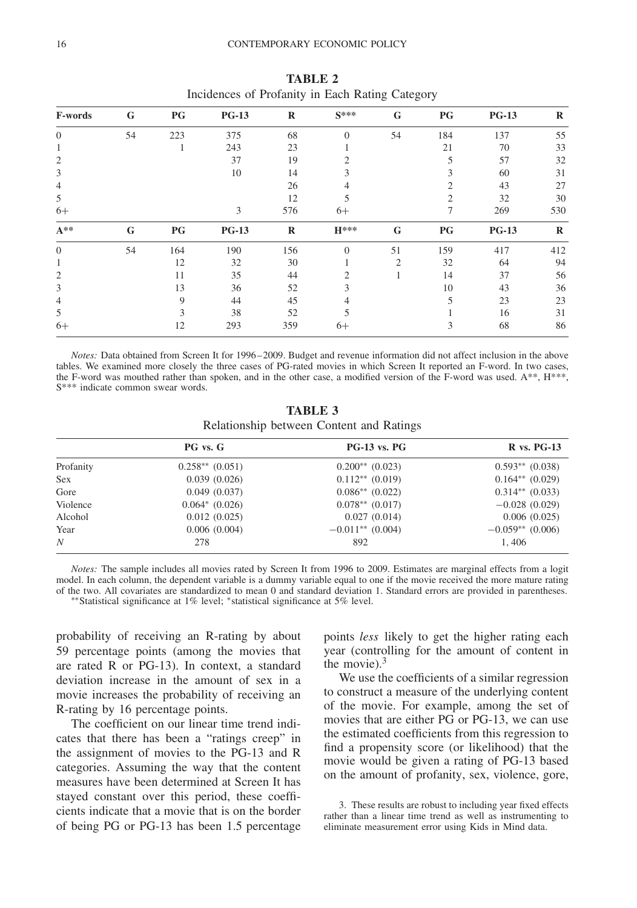|                |    |             |              |          | O<br>$\overline{\phantom{a}}$<br>┙ |                |     |              |     |
|----------------|----|-------------|--------------|----------|------------------------------------|----------------|-----|--------------|-----|
| <b>F-words</b> | G  | $_{\rm PG}$ | <b>PG-13</b> | $\bf{R}$ | $S***$                             | G              | P G | <b>PG-13</b> | R   |
| $\theta$       | 54 | 223         | 375          | 68       | $\Omega$                           | 54             | 184 | 137          | 55  |
| 1              |    |             | 243          | 23       |                                    |                | 21  | 70           | 33  |
| 2              |    |             | 37           | 19       | 2                                  |                | 5   | 57           | 32  |
| 3              |    |             | 10           | 14       |                                    |                |     | 60           | 31  |
| $\overline{4}$ |    |             |              | 26       |                                    |                | 2   | 43           | 27  |
| 5              |    |             |              | 12       |                                    |                | 2   | 32           | 30  |
| $6+$           |    |             | 3            | 576      | $6+$                               |                |     | 269          | 530 |
| $A^{**}$       | G  | P G         | <b>PG-13</b> | $\bf R$  | $H***$                             | G              | P G | <b>PG-13</b> | R   |
| $\theta$       | 54 | 164         | 190          | 156      | $\theta$                           | 51             | 159 | 417          | 412 |
|                |    | 12          | 32           | 30       |                                    | $\overline{2}$ | 32  | 64           | 94  |
| 2              |    | 11          | 35           | 44       | $\overline{c}$                     |                | 14  | 37           | 56  |
| 3              |    | 13          | 36           | 52       | 3                                  |                | 10  | 43           | 36  |
| $\overline{4}$ |    | 9           | 44           | 45       | 4                                  |                | 5   | 23           | 23  |
| 5              |    | 3           | 38           | 52       | 5                                  |                |     | 16           | 31  |
| $6+$           |    | 12          | 293          | 359      | $6+$                               |                | 3   | 68           | 86  |

**TABLE 2** Incidences of Profanity in Each Rating Category

*Notes:* Data obtained from Screen It for 1996–2009. Budget and revenue information did not affect inclusion in the above tables. We examined more closely the three cases of PG-rated movies in which Screen It reported an F-word. In two cases, the F-word was mouthed rather than spoken, and in the other case, a modified version of the F-word was used. A\*\*, H\*\*\*, S\*\*\* indicate common swear words.

**TABLE 3** Relationship between Content and Ratings

|            | PG vs. G            | <b>PG-13 vs. PG</b> | <b>R</b> vs. PG-13  |
|------------|---------------------|---------------------|---------------------|
| Profanity  | $0.258**$ $(0.051)$ | $0.200**$ (0.023)   | $0.593**$ (0.038)   |
| <b>Sex</b> | 0.039(0.026)        | $0.112**$ (0.019)   | $0.164**$ $(0.029)$ |
| Gore       | 0.049(0.037)        | $0.086**$ (0.022)   | $0.314**$ (0.033)   |
| Violence   | $0.064*$ $(0.026)$  | $0.078**$ (0.017)   | $-0.028(0.029)$     |
| Alcohol    | 0.012(0.025)        | 0.027(0.014)        | 0.006(0.025)        |
| Year       | 0.006(0.004)        | $-0.011**$ (0.004)  | $-0.059**$ (0.006)  |
| N          | 278                 | 892                 | 1,406               |

*Notes:* The sample includes all movies rated by Screen It from 1996 to 2009. Estimates are marginal effects from a logit model. In each column, the dependent variable is a dummy variable equal to one if the movie received the more mature rating of the two. All covariates are standardized to mean 0 and standard deviation 1. Standard errors are provided in parentheses. ∗∗Statistical significance at 1% level; ∗statistical significance at 5% level.

probability of receiving an R-rating by about 59 percentage points (among the movies that are rated R or PG-13). In context, a standard deviation increase in the amount of sex in a movie increases the probability of receiving an R-rating by 16 percentage points.

The coefficient on our linear time trend indicates that there has been a "ratings creep" in the assignment of movies to the PG-13 and R categories. Assuming the way that the content measures have been determined at Screen It has stayed constant over this period, these coefficients indicate that a movie that is on the border of being PG or PG-13 has been 1.5 percentage

points *less* likely to get the higher rating each year (controlling for the amount of content in the movie). $3$ 

We use the coefficients of a similar regression to construct a measure of the underlying content of the movie. For example, among the set of movies that are either PG or PG-13, we can use the estimated coefficients from this regression to find a propensity score (or likelihood) that the movie would be given a rating of PG-13 based on the amount of profanity, sex, violence, gore,

3. These results are robust to including year fixed effects rather than a linear time trend as well as instrumenting to eliminate measurement error using Kids in Mind data.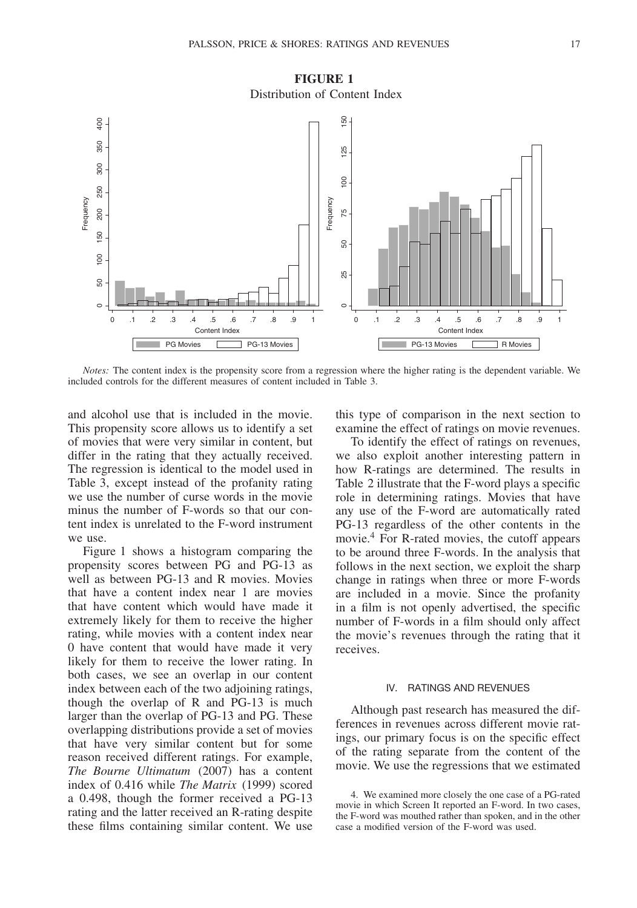**FIGURE 1** Distribution of Content Index



*Notes:* The content index is the propensity score from a regression where the higher rating is the dependent variable. We included controls for the different measures of content included in Table 3.

and alcohol use that is included in the movie. This propensity score allows us to identify a set of movies that were very similar in content, but differ in the rating that they actually received. The regression is identical to the model used in Table 3, except instead of the profanity rating we use the number of curse words in the movie minus the number of F-words so that our content index is unrelated to the F-word instrument we use.

Figure 1 shows a histogram comparing the propensity scores between PG and PG-13 as well as between PG-13 and R movies. Movies that have a content index near 1 are movies that have content which would have made it extremely likely for them to receive the higher rating, while movies with a content index near 0 have content that would have made it very likely for them to receive the lower rating. In both cases, we see an overlap in our content index between each of the two adjoining ratings, though the overlap of R and PG-13 is much larger than the overlap of PG-13 and PG. These overlapping distributions provide a set of movies that have very similar content but for some reason received different ratings. For example, *The Bourne Ultimatum* (2007) has a content index of 0.416 while *The Matrix* (1999) scored a 0.498, though the former received a PG-13 rating and the latter received an R-rating despite these films containing similar content. We use this type of comparison in the next section to examine the effect of ratings on movie revenues.

To identify the effect of ratings on revenues, we also exploit another interesting pattern in how R-ratings are determined. The results in Table 2 illustrate that the F-word plays a specific role in determining ratings. Movies that have any use of the F-word are automatically rated PG-13 regardless of the other contents in the movie.<sup>4</sup> For R-rated movies, the cutoff appears to be around three F-words. In the analysis that follows in the next section, we exploit the sharp change in ratings when three or more F-words are included in a movie. Since the profanity in a film is not openly advertised, the specific number of F-words in a film should only affect the movie's revenues through the rating that it receives.

# IV. RATINGS AND REVENUES

Although past research has measured the differences in revenues across different movie ratings, our primary focus is on the specific effect of the rating separate from the content of the movie. We use the regressions that we estimated

<sup>4.</sup> We examined more closely the one case of a PG-rated movie in which Screen It reported an F-word. In two cases, the F-word was mouthed rather than spoken, and in the other case a modified version of the F-word was used.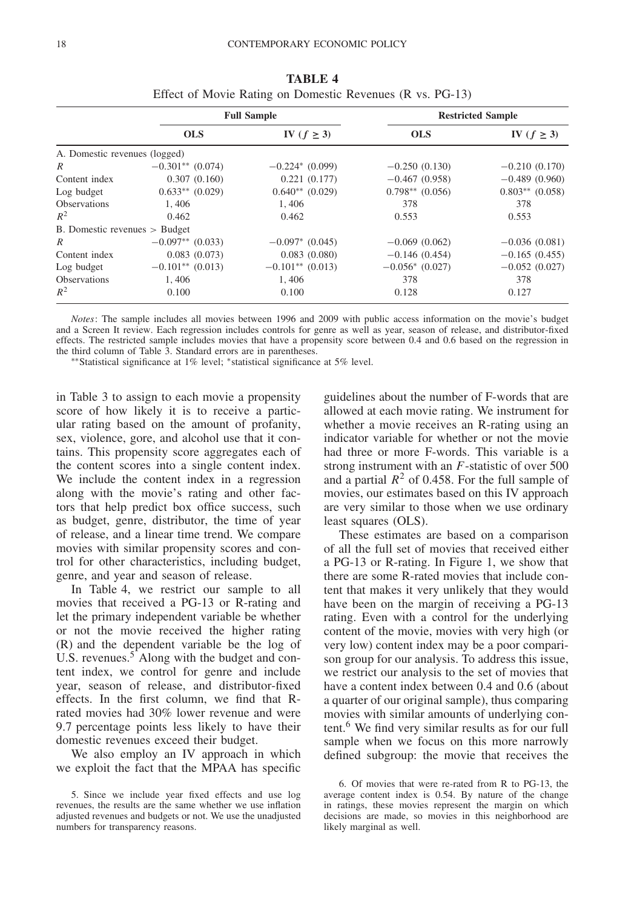|                                   | <b>Full Sample</b>  |                    | <b>Restricted Sample</b> |                   |
|-----------------------------------|---------------------|--------------------|--------------------------|-------------------|
|                                   | <b>OLS</b>          | IV $(f \geq 3)$    | <b>OLS</b>               | IV $(f \geq 3)$   |
| A. Domestic revenues (logged)     |                     |                    |                          |                   |
| $\boldsymbol{R}$                  | $-0.301**$ (0.074)  | $-0.224*(0.099)$   | $-0.250(0.130)$          | $-0.210(0.170)$   |
| Content index                     | 0.307(0.160)        | 0.221(0.177)       | $-0.467(0.958)$          | $-0.489(0.960)$   |
| Log budget                        | $0.633**$ $(0.029)$ | $0.640**$ (0.029)  | $0.798**$ (0.056)        | $0.803**$ (0.058) |
| Observations                      | 1,406               | 1,406              | 378                      | 378               |
| $R^2$                             | 0.462               | 0.462              | 0.553                    | 0.553             |
| $B.$ Domestic revenues $>$ Budget |                     |                    |                          |                   |
| $\boldsymbol{R}$                  | $-0.097**$ (0.033)  | $-0.097*$ (0.045)  | $-0.069(0.062)$          | $-0.036(0.081)$   |
| Content index                     | 0.083(0.073)        | 0.083(0.080)       | $-0.146(0.454)$          | $-0.165(0.455)$   |
| Log budget                        | $-0.101**$ (0.013)  | $-0.101**$ (0.013) | $-0.056*$ (0.027)        | $-0.052(0.027)$   |
| <b>Observations</b>               | 1,406               | 1,406              | 378                      | 378               |
| $R^2$                             | 0.100               | 0.100              | 0.128                    | 0.127             |

**TABLE 4** Effect of Movie Rating on Domestic Revenues (R vs. PG-13)

*Notes*: The sample includes all movies between 1996 and 2009 with public access information on the movie's budget and a Screen It review. Each regression includes controls for genre as well as year, season of release, and distributor-fixed effects. The restricted sample includes movies that have a propensity score between 0.4 and 0.6 based on the regression in the third column of Table 3. Standard errors are in parentheses.

∗∗Statistical significance at 1% level; ∗statistical significance at 5% level.

in Table 3 to assign to each movie a propensity score of how likely it is to receive a particular rating based on the amount of profanity, sex, violence, gore, and alcohol use that it contains. This propensity score aggregates each of the content scores into a single content index. We include the content index in a regression along with the movie's rating and other factors that help predict box office success, such as budget, genre, distributor, the time of year of release, and a linear time trend. We compare movies with similar propensity scores and control for other characteristics, including budget, genre, and year and season of release.

In Table 4, we restrict our sample to all movies that received a PG-13 or R-rating and let the primary independent variable be whether or not the movie received the higher rating (R) and the dependent variable be the log of U.S. revenues. $5^{\circ}$  Along with the budget and content index, we control for genre and include year, season of release, and distributor-fixed effects. In the first column, we find that Rrated movies had 30% lower revenue and were 9.7 percentage points less likely to have their domestic revenues exceed their budget.

We also employ an IV approach in which we exploit the fact that the MPAA has specific

guidelines about the number of F-words that are allowed at each movie rating. We instrument for whether a movie receives an R-rating using an indicator variable for whether or not the movie had three or more F-words. This variable is a strong instrument with an *F*-statistic of over 500 and a partial  $R^2$  of 0.458. For the full sample of movies, our estimates based on this IV approach are very similar to those when we use ordinary least squares (OLS).

These estimates are based on a comparison of all the full set of movies that received either a PG-13 or R-rating. In Figure 1, we show that there are some R-rated movies that include content that makes it very unlikely that they would have been on the margin of receiving a PG-13 rating. Even with a control for the underlying content of the movie, movies with very high (or very low) content index may be a poor comparison group for our analysis. To address this issue, we restrict our analysis to the set of movies that have a content index between 0.4 and 0.6 (about a quarter of our original sample), thus comparing movies with similar amounts of underlying content.<sup>6</sup> We find very similar results as for our full sample when we focus on this more narrowly defined subgroup: the movie that receives the

<sup>5.</sup> Since we include year fixed effects and use log revenues, the results are the same whether we use inflation adjusted revenues and budgets or not. We use the unadjusted numbers for transparency reasons.

<sup>6.</sup> Of movies that were re-rated from R to PG-13, the average content index is 0.54. By nature of the change in ratings, these movies represent the margin on which decisions are made, so movies in this neighborhood are likely marginal as well.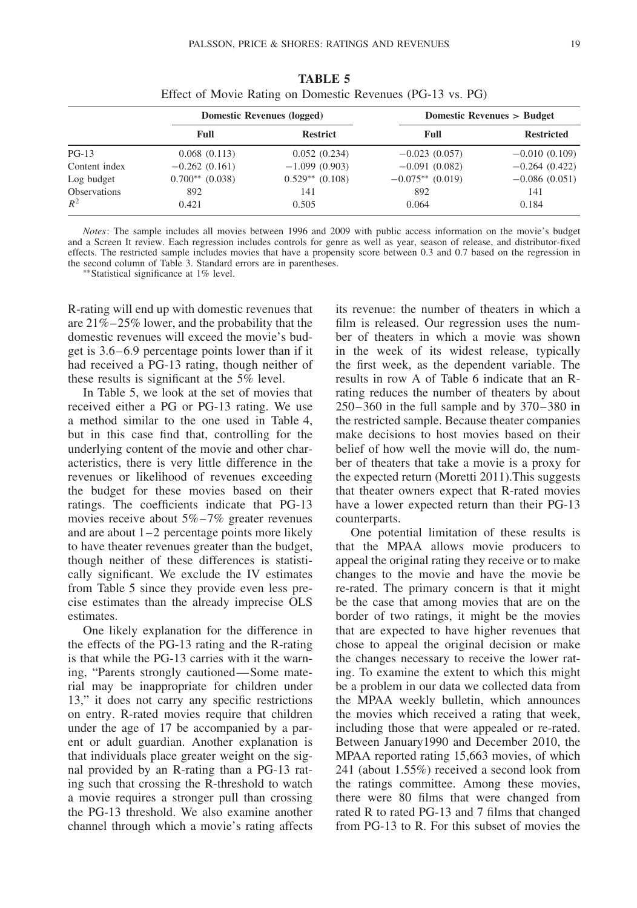|                     | Domestic Revenues (logged) |                     | <b>Domestic Revenues &gt; Budget</b> |                   |
|---------------------|----------------------------|---------------------|--------------------------------------|-------------------|
|                     | Full                       | <b>Restrict</b>     | Full                                 | <b>Restricted</b> |
| $PG-13$             | 0.068(0.113)               | 0.052(0.234)        | $-0.023(0.057)$                      | $-0.010(0.109)$   |
| Content index       | $-0.262(0.161)$            | $-1.099(0.903)$     | $-0.091(0.082)$                      | $-0.264(0.422)$   |
| Log budget          | $0.700**$ (0.038)          | $0.529**$ $(0.108)$ | $-0.075**$ (0.019)                   | $-0.086(0.051)$   |
| <b>Observations</b> | 892                        | 141                 | 892                                  | 141               |
| $R^2$               | 0.421                      | 0.505               | 0.064                                | 0.184             |

**TABLE 5** Effect of Movie Rating on Domestic Revenues (PG-13 vs. PG)

*Notes*: The sample includes all movies between 1996 and 2009 with public access information on the movie's budget and a Screen It review. Each regression includes controls for genre as well as year, season of release, and distributor-fixed effects. The restricted sample includes movies that have a propensity score between 0.3 and 0.7 based on the regression in the second column of Table 3. Standard errors are in parentheses.

∗∗Statistical significance at 1% level.

R-rating will end up with domestic revenues that are 21%–25% lower, and the probability that the domestic revenues will exceed the movie's budget is 3.6–6.9 percentage points lower than if it had received a PG-13 rating, though neither of these results is significant at the 5% level.

In Table 5, we look at the set of movies that received either a PG or PG-13 rating. We use a method similar to the one used in Table 4, but in this case find that, controlling for the underlying content of the movie and other characteristics, there is very little difference in the revenues or likelihood of revenues exceeding the budget for these movies based on their ratings. The coefficients indicate that PG-13 movies receive about 5%–7% greater revenues and are about  $1-2$  percentage points more likely to have theater revenues greater than the budget, though neither of these differences is statistically significant. We exclude the IV estimates from Table 5 since they provide even less precise estimates than the already imprecise OLS estimates.

One likely explanation for the difference in the effects of the PG-13 rating and the R-rating is that while the PG-13 carries with it the warning, "Parents strongly cautioned—Some material may be inappropriate for children under 13," it does not carry any specific restrictions on entry. R-rated movies require that children under the age of 17 be accompanied by a parent or adult guardian. Another explanation is that individuals place greater weight on the signal provided by an R-rating than a PG-13 rating such that crossing the R-threshold to watch a movie requires a stronger pull than crossing the PG-13 threshold. We also examine another channel through which a movie's rating affects its revenue: the number of theaters in which a film is released. Our regression uses the number of theaters in which a movie was shown in the week of its widest release, typically the first week, as the dependent variable. The results in row A of Table 6 indicate that an Rrating reduces the number of theaters by about 250–360 in the full sample and by 370–380 in the restricted sample. Because theater companies make decisions to host movies based on their belief of how well the movie will do, the number of theaters that take a movie is a proxy for the expected return (Moretti 2011).This suggests that theater owners expect that R-rated movies have a lower expected return than their PG-13 counterparts.

One potential limitation of these results is that the MPAA allows movie producers to appeal the original rating they receive or to make changes to the movie and have the movie be re-rated. The primary concern is that it might be the case that among movies that are on the border of two ratings, it might be the movies that are expected to have higher revenues that chose to appeal the original decision or make the changes necessary to receive the lower rating. To examine the extent to which this might be a problem in our data we collected data from the MPAA weekly bulletin, which announces the movies which received a rating that week, including those that were appealed or re-rated. Between January1990 and December 2010, the MPAA reported rating 15,663 movies, of which 241 (about 1.55%) received a second look from the ratings committee. Among these movies, there were 80 films that were changed from rated R to rated PG-13 and 7 films that changed from PG-13 to R. For this subset of movies the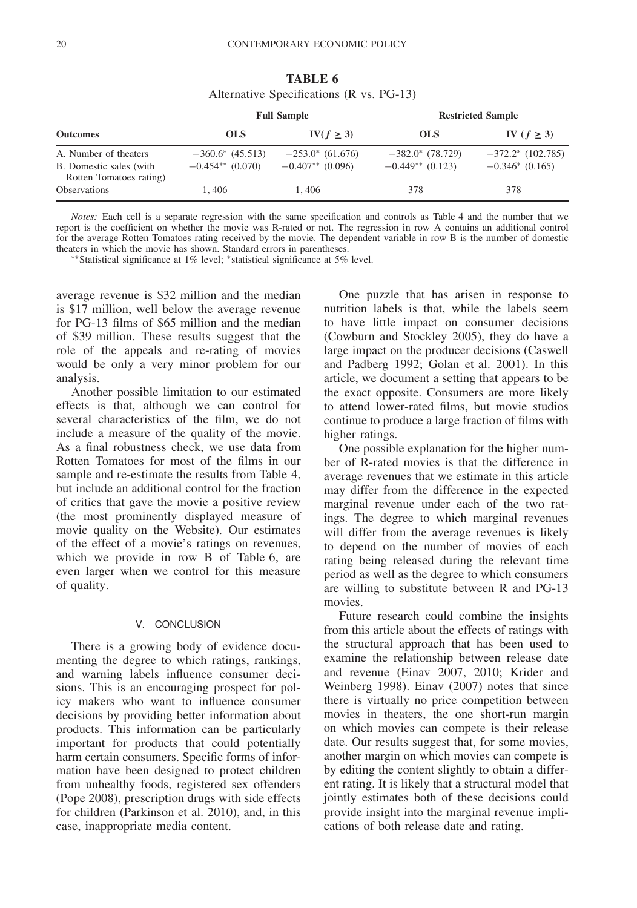|                                                                             |                                           | <b>Full Sample</b>                        | <b>Restricted Sample</b>                  |                                          |  |
|-----------------------------------------------------------------------------|-------------------------------------------|-------------------------------------------|-------------------------------------------|------------------------------------------|--|
| <b>Outcomes</b>                                                             | <b>OLS</b>                                | IV( $f \geq 3$ )                          | <b>OLS</b>                                | IV $(f \geq 3)$                          |  |
| A. Number of theaters<br>B. Domestic sales (with<br>Rotten Tomatoes rating) | $-360.6^*$ (45.513)<br>$-0.454**$ (0.070) | $-253.0^*$ (61.676)<br>$-0.407**$ (0.096) | $-382.0^*$ (78.729)<br>$-0.449**$ (0.123) | $-372.2*$ (102.785)<br>$-0.346*$ (0.165) |  |
| <b>Observations</b>                                                         | 1.406                                     | 1,406                                     | 378                                       | 378                                      |  |

**TABLE 6** Alternative Specifications (R vs. PG-13)

*Notes:* Each cell is a separate regression with the same specification and controls as Table 4 and the number that we report is the coefficient on whether the movie was R-rated or not. The regression in row A contains an additional control for the average Rotten Tomatoes rating received by the movie. The dependent variable in row B is the number of domestic theaters in which the movie has shown. Standard errors in parentheses.

∗∗Statistical significance at 1% level; ∗statistical significance at 5% level.

average revenue is \$32 million and the median is \$17 million, well below the average revenue for PG-13 films of \$65 million and the median of \$39 million. These results suggest that the role of the appeals and re-rating of movies would be only a very minor problem for our analysis.

Another possible limitation to our estimated effects is that, although we can control for several characteristics of the film, we do not include a measure of the quality of the movie. As a final robustness check, we use data from Rotten Tomatoes for most of the films in our sample and re-estimate the results from Table 4, but include an additional control for the fraction of critics that gave the movie a positive review (the most prominently displayed measure of movie quality on the Website). Our estimates of the effect of a movie's ratings on revenues, which we provide in row B of Table 6, are even larger when we control for this measure of quality.

# V. CONCLUSION

There is a growing body of evidence documenting the degree to which ratings, rankings, and warning labels influence consumer decisions. This is an encouraging prospect for policy makers who want to influence consumer decisions by providing better information about products. This information can be particularly important for products that could potentially harm certain consumers. Specific forms of information have been designed to protect children from unhealthy foods, registered sex offenders (Pope 2008), prescription drugs with side effects for children (Parkinson et al. 2010), and, in this case, inappropriate media content.

One puzzle that has arisen in response to nutrition labels is that, while the labels seem to have little impact on consumer decisions (Cowburn and Stockley 2005), they do have a large impact on the producer decisions (Caswell and Padberg 1992; Golan et al. 2001). In this article, we document a setting that appears to be the exact opposite. Consumers are more likely to attend lower-rated films, but movie studios continue to produce a large fraction of films with higher ratings.

One possible explanation for the higher number of R-rated movies is that the difference in average revenues that we estimate in this article may differ from the difference in the expected marginal revenue under each of the two ratings. The degree to which marginal revenues will differ from the average revenues is likely to depend on the number of movies of each rating being released during the relevant time period as well as the degree to which consumers are willing to substitute between R and PG-13 movies.

Future research could combine the insights from this article about the effects of ratings with the structural approach that has been used to examine the relationship between release date and revenue (Einav 2007, 2010; Krider and Weinberg 1998). Einav (2007) notes that since there is virtually no price competition between movies in theaters, the one short-run margin on which movies can compete is their release date. Our results suggest that, for some movies, another margin on which movies can compete is by editing the content slightly to obtain a different rating. It is likely that a structural model that jointly estimates both of these decisions could provide insight into the marginal revenue implications of both release date and rating.